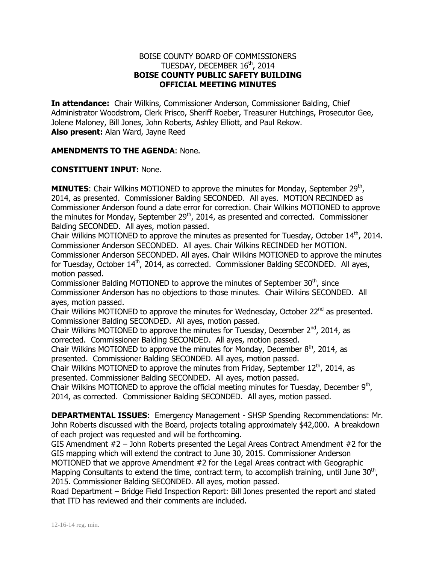## BOISE COUNTY BOARD OF COMMISSIONERS TUESDAY, DECEMBER 16<sup>th</sup>, 2014 **BOISE COUNTY PUBLIC SAFETY BUILDING OFFICIAL MEETING MINUTES**

**In attendance:** Chair Wilkins, Commissioner Anderson, Commissioner Balding, Chief Administrator Woodstrom, Clerk Prisco, Sheriff Roeber, Treasurer Hutchings, Prosecutor Gee, Jolene Maloney, Bill Jones, John Roberts, Ashley Elliott, and Paul Rekow. **Also present:** Alan Ward, Jayne Reed

## **AMENDMENTS TO THE AGENDA**: None.

## **CONSTITUENT INPUT:** None.

**MINUTES:** Chair Wilkins MOTIONED to approve the minutes for Monday, September 29<sup>th</sup>, 2014, as presented. Commissioner Balding SECONDED. All ayes. MOTION RECINDED as Commissioner Anderson found a date error for correction. Chair Wilkins MOTIONED to approve the minutes for Monday, September 29<sup>th</sup>, 2014, as presented and corrected. Commissioner Balding SECONDED. All ayes, motion passed.

Chair Wilkins MOTIONED to approve the minutes as presented for Tuesday, October  $14<sup>th</sup>$ , 2014. Commissioner Anderson SECONDED. All ayes. Chair Wilkins RECINDED her MOTION. Commissioner Anderson SECONDED. All ayes. Chair Wilkins MOTIONED to approve the minutes for Tuesday, October  $14<sup>th</sup>$ , 2014, as corrected. Commissioner Balding SECONDED. All ayes, motion passed.

Commissioner Balding MOTIONED to approve the minutes of September  $30<sup>th</sup>$ , since Commissioner Anderson has no objections to those minutes. Chair Wilkins SECONDED. All ayes, motion passed.

Chair Wilkins MOTIONED to approve the minutes for Wednesday, October  $22^{nd}$  as presented. Commissioner Balding SECONDED. All ayes, motion passed.

Chair Wilkins MOTIONED to approve the minutes for Tuesday, December  $2^{nd}$ , 2014, as corrected. Commissioner Balding SECONDED. All ayes, motion passed.

Chair Wilkins MOTIONED to approve the minutes for Monday, December  $8<sup>th</sup>$ , 2014, as presented. Commissioner Balding SECONDED. All ayes, motion passed.

Chair Wilkins MOTIONED to approve the minutes from Friday, September  $12^{th}$ , 2014, as presented. Commissioner Balding SECONDED. All ayes, motion passed.

Chair Wilkins MOTIONED to approve the official meeting minutes for Tuesday, December  $9<sup>th</sup>$ , 2014, as corrected. Commissioner Balding SECONDED. All ayes, motion passed.

**DEPARTMENTAL ISSUES**: Emergency Management - SHSP Spending Recommendations: Mr. John Roberts discussed with the Board, projects totaling approximately \$42,000. A breakdown of each project was requested and will be forthcoming.

GIS Amendment #2 – John Roberts presented the Legal Areas Contract Amendment #2 for the GIS mapping which will extend the contract to June 30, 2015. Commissioner Anderson

MOTIONED that we approve Amendment #2 for the Legal Areas contract with Geographic Mapping Consultants to extend the time, contract term, to accomplish training, until June  $30<sup>th</sup>$ , 2015. Commissioner Balding SECONDED. All ayes, motion passed.

Road Department – Bridge Field Inspection Report: Bill Jones presented the report and stated that ITD has reviewed and their comments are included.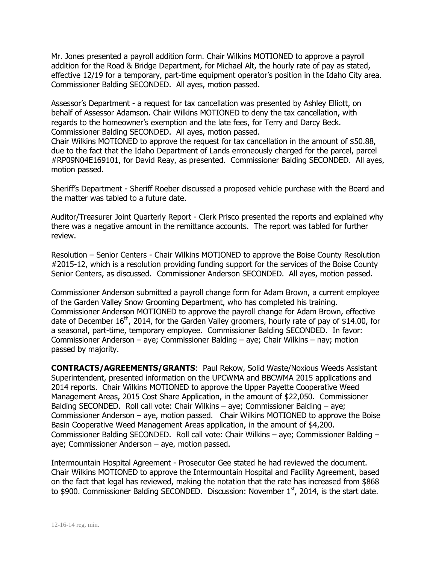Mr. Jones presented a payroll addition form. Chair Wilkins MOTIONED to approve a payroll addition for the Road & Bridge Department, for Michael Alt, the hourly rate of pay as stated, effective 12/19 for a temporary, part-time equipment operator's position in the Idaho City area. Commissioner Balding SECONDED. All ayes, motion passed.

Assessor's Department - a request for tax cancellation was presented by Ashley Elliott, on behalf of Assessor Adamson. Chair Wilkins MOTIONED to deny the tax cancellation, with regards to the homeowner's exemption and the late fees, for Terry and Darcy Beck. Commissioner Balding SECONDED. All ayes, motion passed.

Chair Wilkins MOTIONED to approve the request for tax cancellation in the amount of \$50.88, due to the fact that the Idaho Department of Lands erroneously charged for the parcel, parcel #RP09N04E169101, for David Reay, as presented. Commissioner Balding SECONDED. All ayes, motion passed.

Sheriff's Department - Sheriff Roeber discussed a proposed vehicle purchase with the Board and the matter was tabled to a future date.

Auditor/Treasurer Joint Quarterly Report - Clerk Prisco presented the reports and explained why there was a negative amount in the remittance accounts. The report was tabled for further review.

Resolution – Senior Centers - Chair Wilkins MOTIONED to approve the Boise County Resolution #2015-12, which is a resolution providing funding support for the services of the Boise County Senior Centers, as discussed. Commissioner Anderson SECONDED. All ayes, motion passed.

Commissioner Anderson submitted a payroll change form for Adam Brown, a current employee of the Garden Valley Snow Grooming Department, who has completed his training. Commissioner Anderson MOTIONED to approve the payroll change for Adam Brown, effective date of December  $16<sup>th</sup>$ , 2014, for the Garden Valley groomers, hourly rate of pay of \$14.00, for a seasonal, part-time, temporary employee. Commissioner Balding SECONDED. In favor: Commissioner Anderson – aye; Commissioner Balding – aye; Chair Wilkins – nay; motion passed by majority.

**CONTRACTS/AGREEMENTS/GRANTS**: Paul Rekow, Solid Waste/Noxious Weeds Assistant Superintendent, presented information on the UPCWMA and BBCWMA 2015 applications and 2014 reports. Chair Wilkins MOTIONED to approve the Upper Payette Cooperative Weed Management Areas, 2015 Cost Share Application, in the amount of \$22,050. Commissioner Balding SECONDED. Roll call vote: Chair Wilkins – aye; Commissioner Balding – aye; Commissioner Anderson – aye, motion passed. Chair Wilkins MOTIONED to approve the Boise Basin Cooperative Weed Management Areas application, in the amount of \$4,200. Commissioner Balding SECONDED. Roll call vote: Chair Wilkins – aye; Commissioner Balding – aye; Commissioner Anderson – aye, motion passed.

Intermountain Hospital Agreement - Prosecutor Gee stated he had reviewed the document. Chair Wilkins MOTIONED to approve the Intermountain Hospital and Facility Agreement, based on the fact that legal has reviewed, making the notation that the rate has increased from \$868 to \$900. Commissioner Balding SECONDED. Discussion: November  $1<sup>st</sup>$ , 2014, is the start date.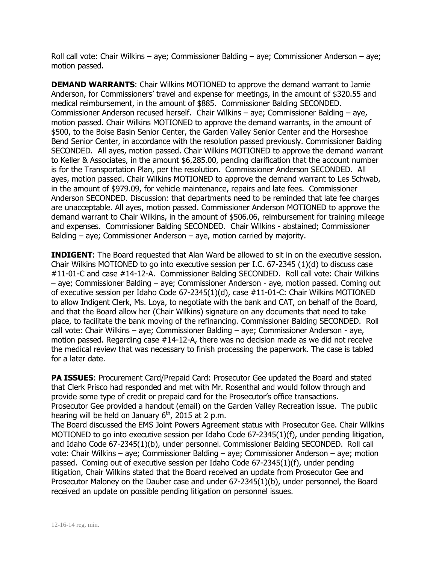Roll call vote: Chair Wilkins – aye; Commissioner Balding – aye; Commissioner Anderson – aye; motion passed.

**DEMAND WARRANTS:** Chair Wilkins MOTIONED to approve the demand warrant to Jamie Anderson, for Commissioners' travel and expense for meetings, in the amount of \$320.55 and medical reimbursement, in the amount of \$885. Commissioner Balding SECONDED. Commissioner Anderson recused herself. Chair Wilkins – aye; Commissioner Balding – aye, motion passed. Chair Wilkins MOTIONED to approve the demand warrants, in the amount of \$500, to the Boise Basin Senior Center, the Garden Valley Senior Center and the Horseshoe Bend Senior Center, in accordance with the resolution passed previously. Commissioner Balding SECONDED. All ayes, motion passed. Chair Wilkins MOTIONED to approve the demand warrant to Keller & Associates, in the amount \$6,285.00, pending clarification that the account number is for the Transportation Plan, per the resolution. Commissioner Anderson SECONDED. All ayes, motion passed. Chair Wilkins MOTIONED to approve the demand warrant to Les Schwab, in the amount of \$979.09, for vehicle maintenance, repairs and late fees. Commissioner Anderson SECONDED. Discussion: that departments need to be reminded that late fee charges are unacceptable. All ayes, motion passed. Commissioner Anderson MOTIONED to approve the demand warrant to Chair Wilkins, in the amount of \$506.06, reimbursement for training mileage and expenses. Commissioner Balding SECONDED. Chair Wilkins - abstained; Commissioner Balding – aye; Commissioner Anderson – aye, motion carried by majority.

**INDIGENT:** The Board requested that Alan Ward be allowed to sit in on the executive session. Chair Wilkins MOTIONED to go into executive session per I.C.  $67-2345$  (1)(d) to discuss case #11-01-C and case #14-12-A. Commissioner Balding SECONDED. Roll call vote: Chair Wilkins – aye; Commissioner Balding – aye; Commissioner Anderson - aye, motion passed. Coming out of executive session per Idaho Code 67-2345(1)(d), case #11-01-C: Chair Wilkins MOTIONED to allow Indigent Clerk, Ms. Loya, to negotiate with the bank and CAT, on behalf of the Board, and that the Board allow her (Chair Wilkins) signature on any documents that need to take place, to facilitate the bank moving of the refinancing. Commissioner Balding SECONDED. Roll call vote: Chair Wilkins – aye; Commissioner Balding – aye; Commissioner Anderson - aye, motion passed. Regarding case #14-12-A, there was no decision made as we did not receive the medical review that was necessary to finish processing the paperwork. The case is tabled for a later date.

**PA ISSUES:** Procurement Card/Prepaid Card: Prosecutor Gee updated the Board and stated that Clerk Prisco had responded and met with Mr. Rosenthal and would follow through and provide some type of credit or prepaid card for the Prosecutor's office transactions. Prosecutor Gee provided a handout (email) on the Garden Valley Recreation issue. The public hearing will be held on January  $6<sup>th</sup>$ , 2015 at 2 p.m.

The Board discussed the EMS Joint Powers Agreement status with Prosecutor Gee. Chair Wilkins MOTIONED to go into executive session per Idaho Code 67-2345(1)(f), under pending litigation, and Idaho Code 67-2345(1)(b), under personnel. Commissioner Balding SECONDED. Roll call vote: Chair Wilkins – aye; Commissioner Balding – aye; Commissioner Anderson – aye; motion passed. Coming out of executive session per Idaho Code 67-2345(1)(f), under pending litigation, Chair Wilkins stated that the Board received an update from Prosecutor Gee and Prosecutor Maloney on the Dauber case and under 67-2345(1)(b), under personnel, the Board received an update on possible pending litigation on personnel issues.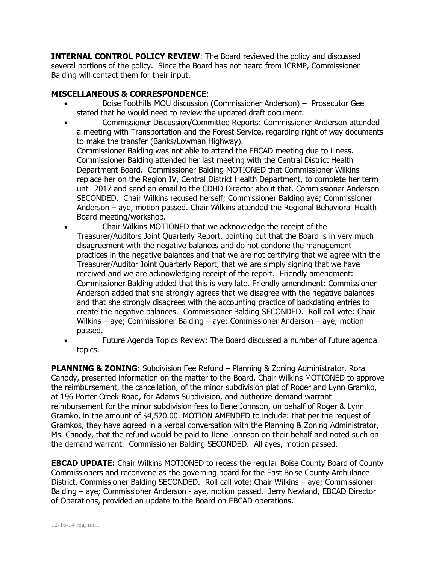**INTERNAL CONTROL POLICY REVIEW**: The Board reviewed the policy and discussed several portions of the policy. Since the Board has not heard from ICRMP, Commissioner Balding will contact them for their input.

## **MISCELLANEOUS & CORRESPONDENCE**:

- Boise Foothills MOU discussion (Commissioner Anderson) Prosecutor Gee stated that he would need to review the updated draft document.
- Commissioner Discussion/Committee Reports: Commissioner Anderson attended a meeting with Transportation and the Forest Service, regarding right of way documents to make the transfer (Banks/Lowman Highway).

Commissioner Balding was not able to attend the EBCAD meeting due to illness. Commissioner Balding attended her last meeting with the Central District Health Department Board. Commissioner Balding MOTIONED that Commissioner Wilkins replace her on the Region IV, Central District Health Department, to complete her term until 2017 and send an email to the CDHD Director about that. Commissioner Anderson SECONDED. Chair Wilkins recused herself; Commissioner Balding aye; Commissioner Anderson – aye, motion passed. Chair Wilkins attended the Regional Behavioral Health Board meeting/workshop.

- Chair Wilkins MOTIONED that we acknowledge the receipt of the Treasurer/Auditors Joint Quarterly Report, pointing out that the Board is in very much disagreement with the negative balances and do not condone the management practices in the negative balances and that we are not certifying that we agree with the Treasurer/Auditor Joint Quarterly Report, that we are simply signing that we have received and we are acknowledging receipt of the report. Friendly amendment: Commissioner Balding added that this is very late. Friendly amendment: Commissioner Anderson added that she strongly agrees that we disagree with the negative balances and that she strongly disagrees with the accounting practice of backdating entries to create the negative balances. Commissioner Balding SECONDED. Roll call vote: Chair Wilkins – aye; Commissioner Balding – aye; Commissioner Anderson – aye; motion passed.
- Future Agenda Topics Review: The Board discussed a number of future agenda topics.

**PLANNING & ZONING:** Subdivision Fee Refund – Planning & Zoning Administrator, Rora Canody, presented information on the matter to the Board. Chair Wilkins MOTIONED to approve the reimbursement, the cancellation, of the minor subdivision plat of Roger and Lynn Gramko, at 196 Porter Creek Road, for Adams Subdivision, and authorize demand warrant reimbursement for the minor subdivision fees to Ilene Johnson, on behalf of Roger & Lynn Gramko, in the amount of \$4,520.00. MOTION AMENDED to include: that per the request of Gramkos, they have agreed in a verbal conversation with the Planning & Zoning Administrator, Ms. Canody, that the refund would be paid to Ilene Johnson on their behalf and noted such on the demand warrant. Commissioner Balding SECONDED. All ayes, motion passed.

**EBCAD UPDATE:** Chair Wilkins MOTIONED to recess the regular Boise County Board of County Commissioners and reconvene as the governing board for the East Boise County Ambulance District. Commissioner Balding SECONDED. Roll call vote: Chair Wilkins – aye; Commissioner Balding – aye; Commissioner Anderson - aye, motion passed. Jerry Newland, EBCAD Director of Operations, provided an update to the Board on EBCAD operations.